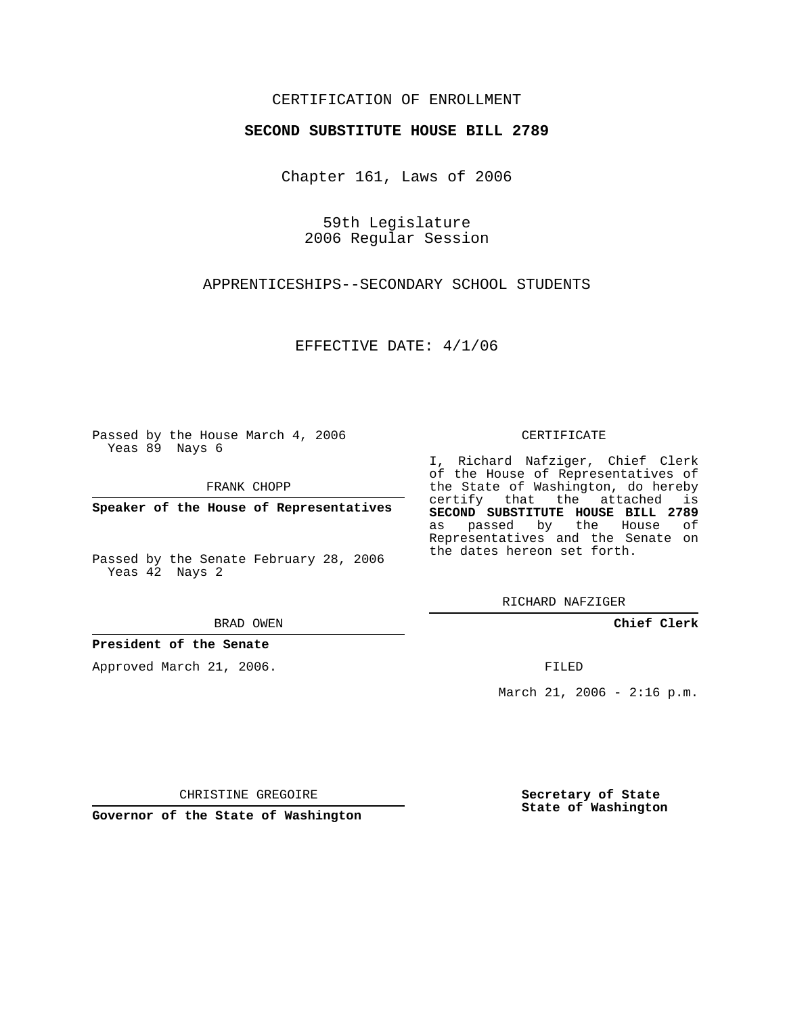## CERTIFICATION OF ENROLLMENT

#### **SECOND SUBSTITUTE HOUSE BILL 2789**

Chapter 161, Laws of 2006

59th Legislature 2006 Regular Session

APPRENTICESHIPS--SECONDARY SCHOOL STUDENTS

EFFECTIVE DATE: 4/1/06

Passed by the House March 4, 2006 Yeas 89 Nays 6

FRANK CHOPP

**Speaker of the House of Representatives**

Passed by the Senate February 28, 2006 Yeas 42 Nays 2

BRAD OWEN

**President of the Senate**

Approved March 21, 2006.

CERTIFICATE

I, Richard Nafziger, Chief Clerk of the House of Representatives of the State of Washington, do hereby certify that the attached is **SECOND SUBSTITUTE HOUSE BILL 2789** as passed by the House of Representatives and the Senate on the dates hereon set forth.

RICHARD NAFZIGER

**Chief Clerk**

FILED

March 21, 2006 - 2:16 p.m.

CHRISTINE GREGOIRE

**Governor of the State of Washington**

**Secretary of State State of Washington**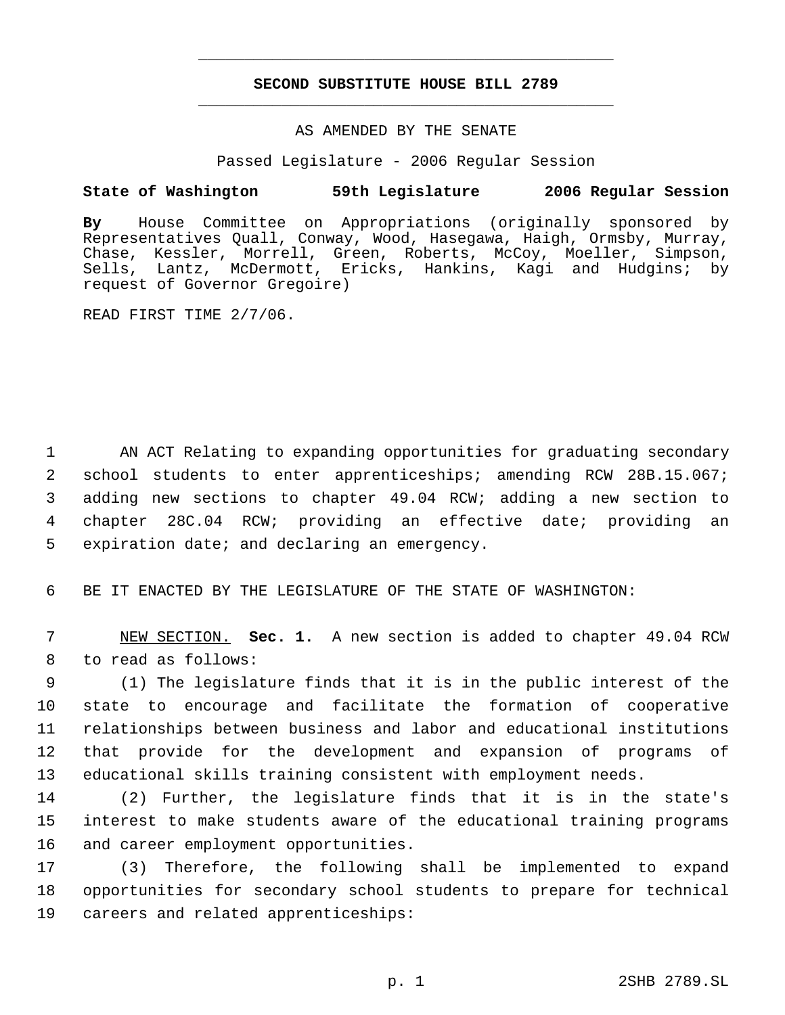# **SECOND SUBSTITUTE HOUSE BILL 2789** \_\_\_\_\_\_\_\_\_\_\_\_\_\_\_\_\_\_\_\_\_\_\_\_\_\_\_\_\_\_\_\_\_\_\_\_\_\_\_\_\_\_\_\_\_

\_\_\_\_\_\_\_\_\_\_\_\_\_\_\_\_\_\_\_\_\_\_\_\_\_\_\_\_\_\_\_\_\_\_\_\_\_\_\_\_\_\_\_\_\_

### AS AMENDED BY THE SENATE

Passed Legislature - 2006 Regular Session

### **State of Washington 59th Legislature 2006 Regular Session**

**By** House Committee on Appropriations (originally sponsored by Representatives Quall, Conway, Wood, Hasegawa, Haigh, Ormsby, Murray, Chase, Kessler, Morrell, Green, Roberts, McCoy, Moeller, Simpson, Sells, Lantz, McDermott, Ericks, Hankins, Kagi and Hudgins; by request of Governor Gregoire)

READ FIRST TIME 2/7/06.

 AN ACT Relating to expanding opportunities for graduating secondary school students to enter apprenticeships; amending RCW 28B.15.067; adding new sections to chapter 49.04 RCW; adding a new section to chapter 28C.04 RCW; providing an effective date; providing an expiration date; and declaring an emergency.

6 BE IT ENACTED BY THE LEGISLATURE OF THE STATE OF WASHINGTON:

 7 NEW SECTION. **Sec. 1.** A new section is added to chapter 49.04 RCW 8 to read as follows:

 (1) The legislature finds that it is in the public interest of the state to encourage and facilitate the formation of cooperative relationships between business and labor and educational institutions that provide for the development and expansion of programs of educational skills training consistent with employment needs.

14 (2) Further, the legislature finds that it is in the state's 15 interest to make students aware of the educational training programs 16 and career employment opportunities.

17 (3) Therefore, the following shall be implemented to expand 18 opportunities for secondary school students to prepare for technical 19 careers and related apprenticeships: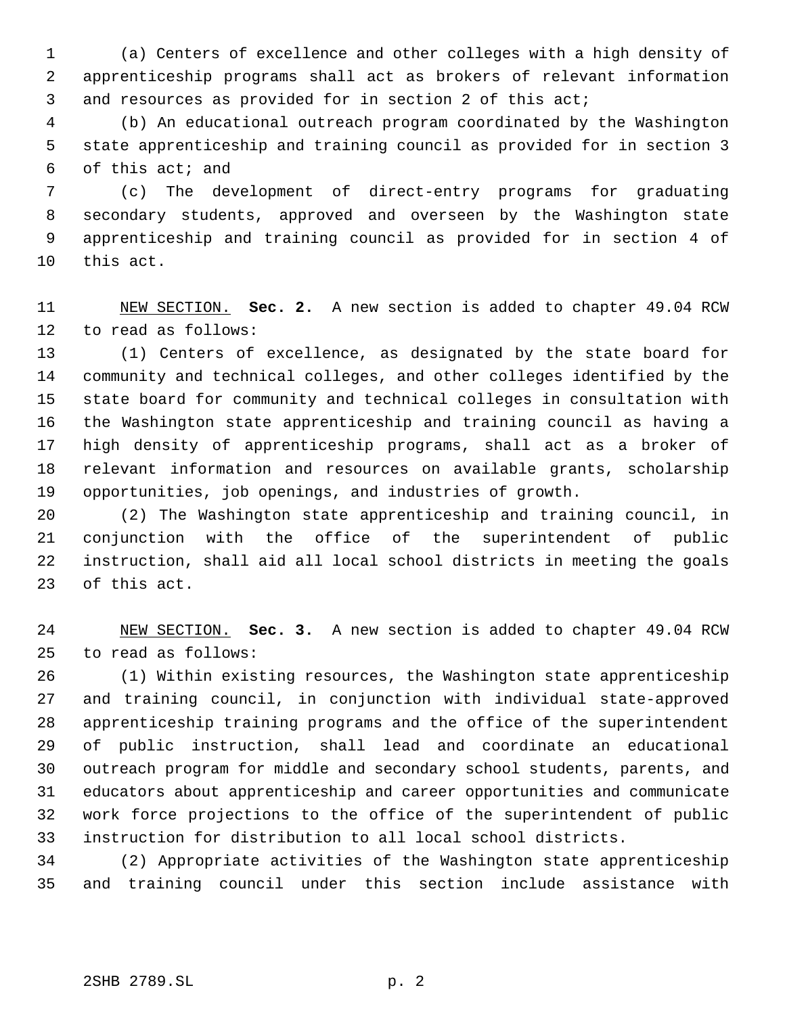(a) Centers of excellence and other colleges with a high density of apprenticeship programs shall act as brokers of relevant information and resources as provided for in section 2 of this act;

 (b) An educational outreach program coordinated by the Washington state apprenticeship and training council as provided for in section 3 of this act; and

 (c) The development of direct-entry programs for graduating secondary students, approved and overseen by the Washington state apprenticeship and training council as provided for in section 4 of this act.

 NEW SECTION. **Sec. 2.** A new section is added to chapter 49.04 RCW to read as follows:

 (1) Centers of excellence, as designated by the state board for community and technical colleges, and other colleges identified by the state board for community and technical colleges in consultation with the Washington state apprenticeship and training council as having a high density of apprenticeship programs, shall act as a broker of relevant information and resources on available grants, scholarship opportunities, job openings, and industries of growth.

 (2) The Washington state apprenticeship and training council, in conjunction with the office of the superintendent of public instruction, shall aid all local school districts in meeting the goals of this act.

 NEW SECTION. **Sec. 3.** A new section is added to chapter 49.04 RCW to read as follows:

 (1) Within existing resources, the Washington state apprenticeship and training council, in conjunction with individual state-approved apprenticeship training programs and the office of the superintendent of public instruction, shall lead and coordinate an educational outreach program for middle and secondary school students, parents, and educators about apprenticeship and career opportunities and communicate work force projections to the office of the superintendent of public instruction for distribution to all local school districts.

 (2) Appropriate activities of the Washington state apprenticeship and training council under this section include assistance with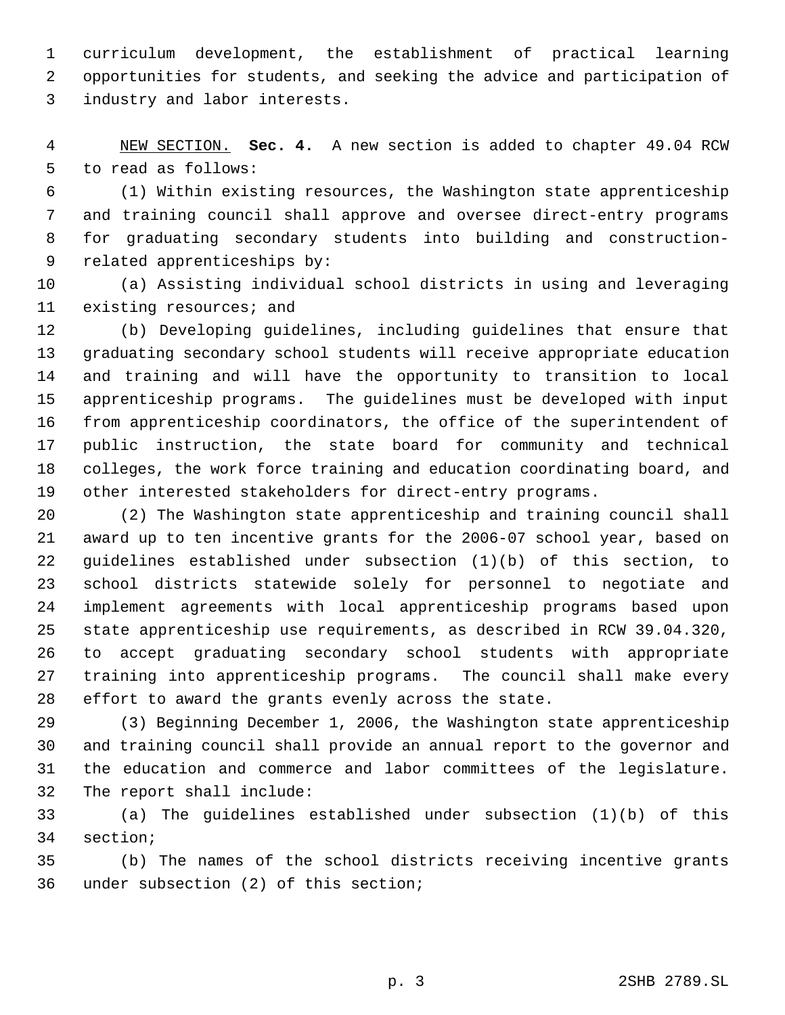curriculum development, the establishment of practical learning opportunities for students, and seeking the advice and participation of industry and labor interests.

 NEW SECTION. **Sec. 4.** A new section is added to chapter 49.04 RCW to read as follows:

 (1) Within existing resources, the Washington state apprenticeship and training council shall approve and oversee direct-entry programs for graduating secondary students into building and construction- related apprenticeships by:

 (a) Assisting individual school districts in using and leveraging existing resources; and

 (b) Developing guidelines, including guidelines that ensure that graduating secondary school students will receive appropriate education and training and will have the opportunity to transition to local apprenticeship programs. The guidelines must be developed with input from apprenticeship coordinators, the office of the superintendent of public instruction, the state board for community and technical colleges, the work force training and education coordinating board, and other interested stakeholders for direct-entry programs.

 (2) The Washington state apprenticeship and training council shall award up to ten incentive grants for the 2006-07 school year, based on guidelines established under subsection (1)(b) of this section, to school districts statewide solely for personnel to negotiate and implement agreements with local apprenticeship programs based upon state apprenticeship use requirements, as described in RCW 39.04.320, to accept graduating secondary school students with appropriate training into apprenticeship programs. The council shall make every effort to award the grants evenly across the state.

 (3) Beginning December 1, 2006, the Washington state apprenticeship and training council shall provide an annual report to the governor and the education and commerce and labor committees of the legislature. The report shall include:

 (a) The guidelines established under subsection (1)(b) of this section;

 (b) The names of the school districts receiving incentive grants under subsection (2) of this section;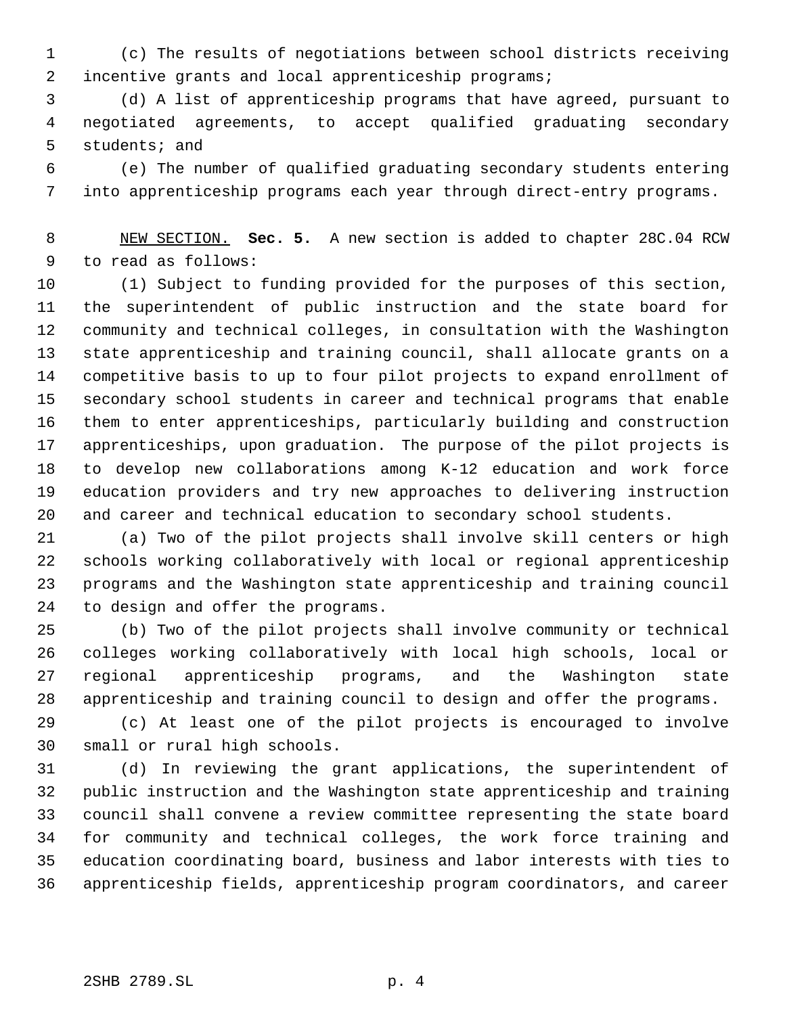(c) The results of negotiations between school districts receiving incentive grants and local apprenticeship programs;

 (d) A list of apprenticeship programs that have agreed, pursuant to negotiated agreements, to accept qualified graduating secondary students; and

 (e) The number of qualified graduating secondary students entering into apprenticeship programs each year through direct-entry programs.

 NEW SECTION. **Sec. 5.** A new section is added to chapter 28C.04 RCW to read as follows:

 (1) Subject to funding provided for the purposes of this section, the superintendent of public instruction and the state board for community and technical colleges, in consultation with the Washington state apprenticeship and training council, shall allocate grants on a competitive basis to up to four pilot projects to expand enrollment of secondary school students in career and technical programs that enable them to enter apprenticeships, particularly building and construction apprenticeships, upon graduation. The purpose of the pilot projects is to develop new collaborations among K-12 education and work force education providers and try new approaches to delivering instruction and career and technical education to secondary school students.

 (a) Two of the pilot projects shall involve skill centers or high schools working collaboratively with local or regional apprenticeship programs and the Washington state apprenticeship and training council to design and offer the programs.

 (b) Two of the pilot projects shall involve community or technical colleges working collaboratively with local high schools, local or regional apprenticeship programs, and the Washington state apprenticeship and training council to design and offer the programs.

 (c) At least one of the pilot projects is encouraged to involve small or rural high schools.

 (d) In reviewing the grant applications, the superintendent of public instruction and the Washington state apprenticeship and training council shall convene a review committee representing the state board for community and technical colleges, the work force training and education coordinating board, business and labor interests with ties to apprenticeship fields, apprenticeship program coordinators, and career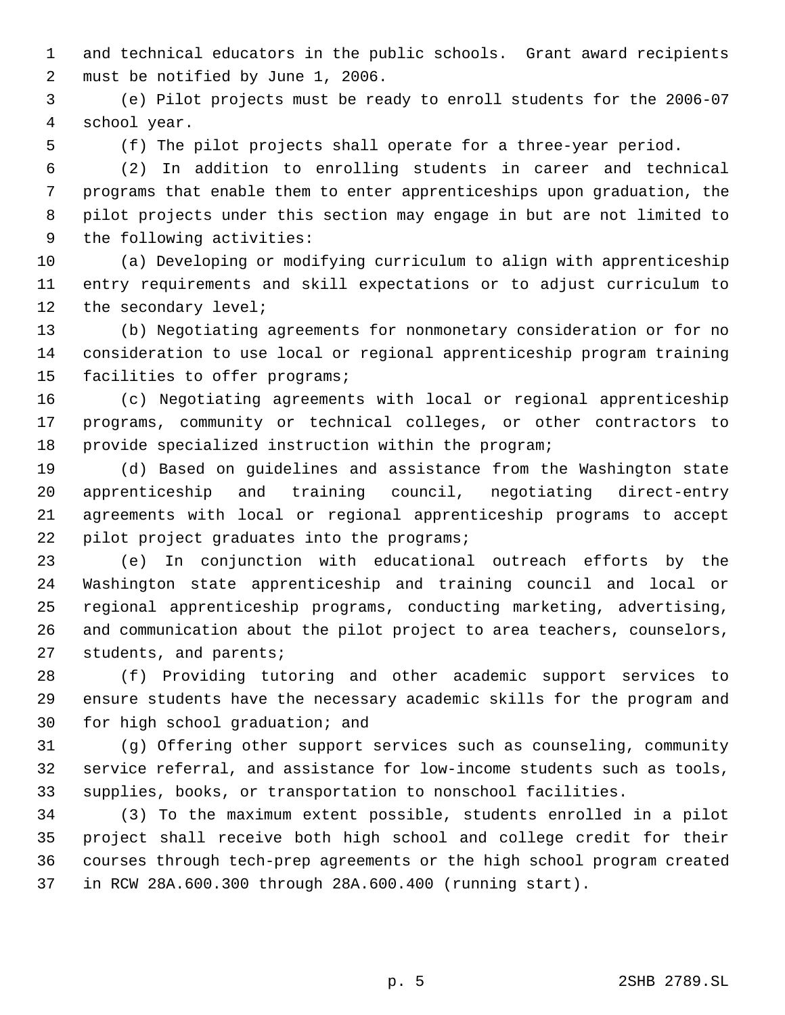and technical educators in the public schools. Grant award recipients must be notified by June 1, 2006.

 (e) Pilot projects must be ready to enroll students for the 2006-07 school year.

(f) The pilot projects shall operate for a three-year period.

 (2) In addition to enrolling students in career and technical programs that enable them to enter apprenticeships upon graduation, the pilot projects under this section may engage in but are not limited to the following activities:

 (a) Developing or modifying curriculum to align with apprenticeship entry requirements and skill expectations or to adjust curriculum to 12 the secondary level;

 (b) Negotiating agreements for nonmonetary consideration or for no consideration to use local or regional apprenticeship program training facilities to offer programs;

 (c) Negotiating agreements with local or regional apprenticeship programs, community or technical colleges, or other contractors to provide specialized instruction within the program;

 (d) Based on guidelines and assistance from the Washington state apprenticeship and training council, negotiating direct-entry agreements with local or regional apprenticeship programs to accept pilot project graduates into the programs;

 (e) In conjunction with educational outreach efforts by the Washington state apprenticeship and training council and local or regional apprenticeship programs, conducting marketing, advertising, and communication about the pilot project to area teachers, counselors, students, and parents;

 (f) Providing tutoring and other academic support services to ensure students have the necessary academic skills for the program and for high school graduation; and

 (g) Offering other support services such as counseling, community service referral, and assistance for low-income students such as tools, supplies, books, or transportation to nonschool facilities.

 (3) To the maximum extent possible, students enrolled in a pilot project shall receive both high school and college credit for their courses through tech-prep agreements or the high school program created in RCW 28A.600.300 through 28A.600.400 (running start).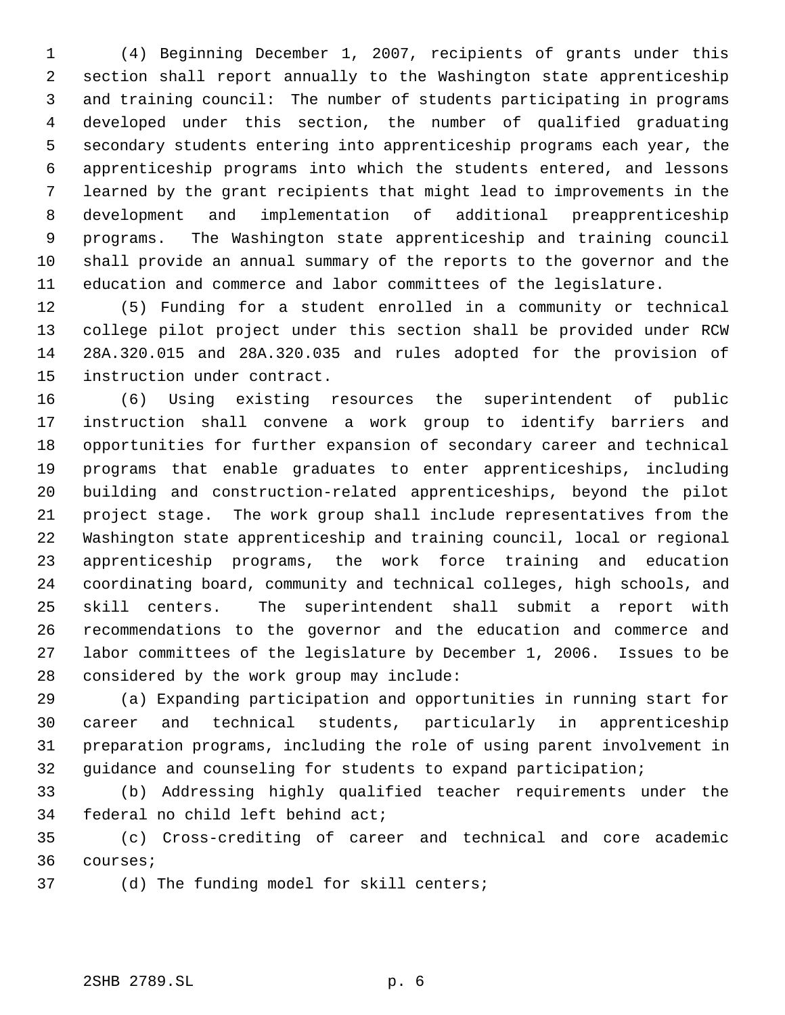(4) Beginning December 1, 2007, recipients of grants under this section shall report annually to the Washington state apprenticeship and training council: The number of students participating in programs developed under this section, the number of qualified graduating secondary students entering into apprenticeship programs each year, the apprenticeship programs into which the students entered, and lessons learned by the grant recipients that might lead to improvements in the development and implementation of additional preapprenticeship programs. The Washington state apprenticeship and training council shall provide an annual summary of the reports to the governor and the education and commerce and labor committees of the legislature.

 (5) Funding for a student enrolled in a community or technical college pilot project under this section shall be provided under RCW 28A.320.015 and 28A.320.035 and rules adopted for the provision of instruction under contract.

 (6) Using existing resources the superintendent of public instruction shall convene a work group to identify barriers and opportunities for further expansion of secondary career and technical programs that enable graduates to enter apprenticeships, including building and construction-related apprenticeships, beyond the pilot project stage. The work group shall include representatives from the Washington state apprenticeship and training council, local or regional apprenticeship programs, the work force training and education coordinating board, community and technical colleges, high schools, and skill centers. The superintendent shall submit a report with recommendations to the governor and the education and commerce and labor committees of the legislature by December 1, 2006. Issues to be considered by the work group may include:

 (a) Expanding participation and opportunities in running start for career and technical students, particularly in apprenticeship preparation programs, including the role of using parent involvement in guidance and counseling for students to expand participation;

 (b) Addressing highly qualified teacher requirements under the federal no child left behind act;

 (c) Cross-crediting of career and technical and core academic courses;

(d) The funding model for skill centers;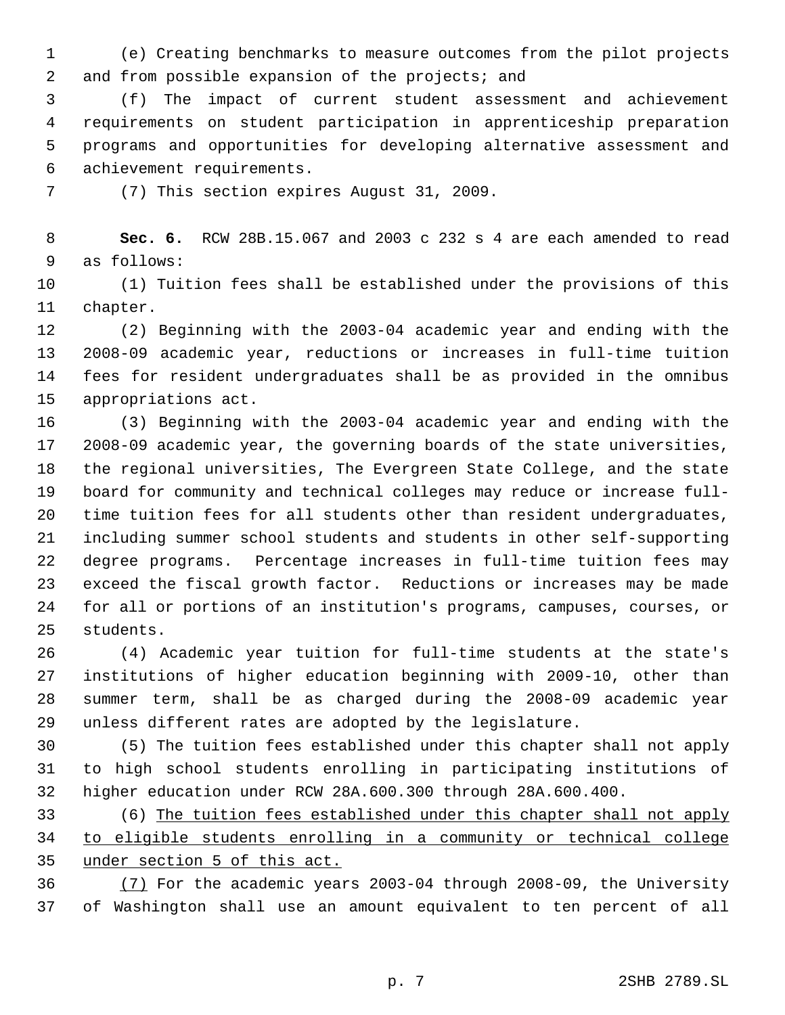(e) Creating benchmarks to measure outcomes from the pilot projects 2 and from possible expansion of the projects; and

 (f) The impact of current student assessment and achievement requirements on student participation in apprenticeship preparation programs and opportunities for developing alternative assessment and achievement requirements.

(7) This section expires August 31, 2009.

 **Sec. 6.** RCW 28B.15.067 and 2003 c 232 s 4 are each amended to read as follows:

 (1) Tuition fees shall be established under the provisions of this chapter.

 (2) Beginning with the 2003-04 academic year and ending with the 2008-09 academic year, reductions or increases in full-time tuition fees for resident undergraduates shall be as provided in the omnibus appropriations act.

 (3) Beginning with the 2003-04 academic year and ending with the 2008-09 academic year, the governing boards of the state universities, the regional universities, The Evergreen State College, and the state board for community and technical colleges may reduce or increase full- time tuition fees for all students other than resident undergraduates, including summer school students and students in other self-supporting degree programs. Percentage increases in full-time tuition fees may exceed the fiscal growth factor. Reductions or increases may be made for all or portions of an institution's programs, campuses, courses, or students.

 (4) Academic year tuition for full-time students at the state's institutions of higher education beginning with 2009-10, other than summer term, shall be as charged during the 2008-09 academic year unless different rates are adopted by the legislature.

 (5) The tuition fees established under this chapter shall not apply to high school students enrolling in participating institutions of higher education under RCW 28A.600.300 through 28A.600.400.

 (6) The tuition fees established under this chapter shall not apply to eligible students enrolling in a community or technical college under section 5 of this act.

 (7) For the academic years 2003-04 through 2008-09, the University of Washington shall use an amount equivalent to ten percent of all